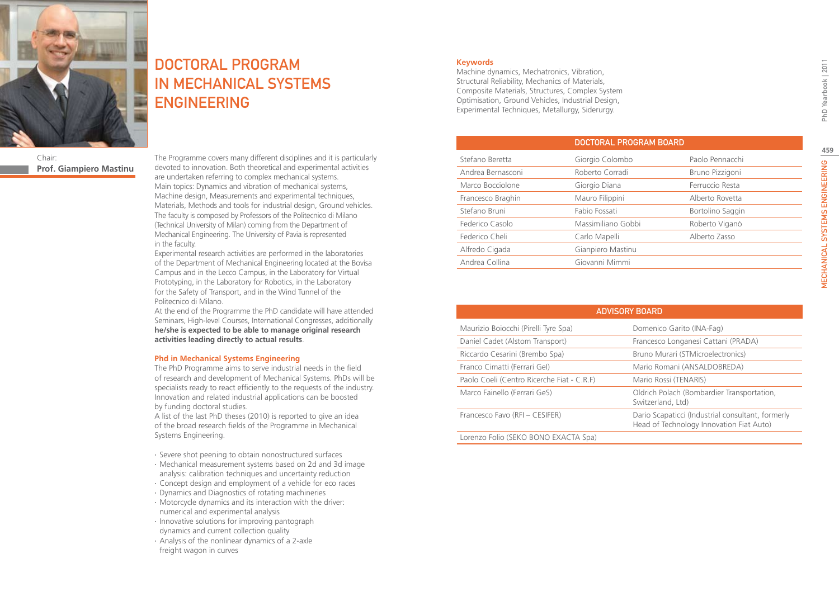

Chair: **Prof. Giampiero Mastinu** DOCTORAL PROGRAM IN MECHANICAL SYSTEMS ENGINEERING

The Programme covers many different disciplines and it is particularly devoted to innovation. Both theoretical and experimental activities are undertaken referring to complex mechanical systems. Main topics: Dynamics and vibration of mechanical systems, Machine design, Measurements and experimental techniques, Materials, Methods and tools for industrial design, Ground vehicles. The faculty is composed by Professors of the Politecnico di Milano (Technical University of Milan) coming from the Department of Mechanical Engineering. The University of Pavia is represented in the faculty.

Experimental research activities are performed in the laboratories of the Department of Mechanical Engineering located at the Bovisa Campus and in the Lecco Campus, in the Laboratory for Virtual Prototyping, in the Laboratory for Robotics, in the Laboratory for the Safety of Transport, and in the Wind Tunnel of the Politecnico di Milano.

At the end of the Programme the PhD candidate will have attended Seminars, High-level Courses, International Congresses, additionally **he/she is expected to be able to manage original research activities leading directly to actual results**.

### **Phd in Mechanical Systems Engineering**

The PhD Programme aims to serve industrial needs in the field of research and development of Mechanical Systems. PhDs will be specialists ready to react efficiently to the requests of the industry. Innovation and related industrial applications can be boosted by funding doctoral studies.

A list of the last PhD theses (2010) is reported to give an idea of the broad research fields of the Programme in Mechanical Systems Engineering.

- ∙ Severe shot peening to obtain nonostructured surfaces
- ∙ Mechanical measurement systems based on 2d and 3d image analysis: calibration techniques and uncertainty reduction
- ∙ Concept design and employment of a vehicle for eco races
- ∙ Dynamics and Diagnostics of rotating machineries
- ∙ Motorcycle dynamics and its interaction with the driver: numerical and experimental analysis
- ∙ Innovative solutions for improving pantograph dynamics and current collection quality
- ∙ Analysis of the nonlinear dynamics of a 2-axle freight wagon in curves

### **Keywords**

Machine dynamics, Mechatronics, Vibration, Structural Reliability, Mechanics of Materials, Composite Materials, Structures, Complex System Optimisation, Ground Vehicles, Industrial Design, Experimental Techniques, Metallurgy, Siderurgy.

|                   |                    | <b>DOCTORAL PROGRAM BOARD</b> |  |  |
|-------------------|--------------------|-------------------------------|--|--|
| Stefano Beretta   | Giorgio Colombo    | Paolo Pennacchi               |  |  |
| Andrea Bernasconi | Roberto Corradi    | Bruno Pizzigoni               |  |  |
| Marco Bocciolone  | Giorgio Diana      | Ferruccio Resta               |  |  |
| Francesco Braghin | Mauro Filippini    | Alberto Rovetta               |  |  |
| Stefano Bruni     | Fabio Fossati      | Bortolino Saggin              |  |  |
| Federico Casolo   | Massimiliano Gobbi | Roberto Viganò                |  |  |
| Federico Cheli    | Carlo Mapelli      | Alberto Zasso                 |  |  |
| Alfredo Cigada    | Gianpiero Mastinu  |                               |  |  |
| Andrea Collina    | Giovanni Mimmi     |                               |  |  |
|                   |                    |                               |  |  |

| <b>ADVISORY BOARD</b>                      |                                                                                               |  |  |  |  |
|--------------------------------------------|-----------------------------------------------------------------------------------------------|--|--|--|--|
| Maurizio Boiocchi (Pirelli Tyre Spa)       | Domenico Garito (INA-Fag)                                                                     |  |  |  |  |
| Daniel Cadet (Alstom Transport)            | Francesco Longanesi Cattani (PRADA)                                                           |  |  |  |  |
| Riccardo Cesarini (Brembo Spa)             | Bruno Murari (STMicroelectronics)                                                             |  |  |  |  |
| Franco Cimatti (Ferrari Gel)               | Mario Romani (ANSALDOBREDA)                                                                   |  |  |  |  |
| Paolo Coeli (Centro Ricerche Fiat - C.R.F) | Mario Rossi (TENARIS)                                                                         |  |  |  |  |
| Marco Fainello (Ferrari GeS)               | Oldrich Polach (Bombardier Transportation,<br>Switzerland, Ltd)                               |  |  |  |  |
| Francesco Favo (RFI - CESIFER)             | Dario Scapaticci (Industrial consultant, formerly<br>Head of Technology Innovation Fiat Auto) |  |  |  |  |
| Lorenzo Folio (SEKO BONO EXACTA Spa)       |                                                                                               |  |  |  |  |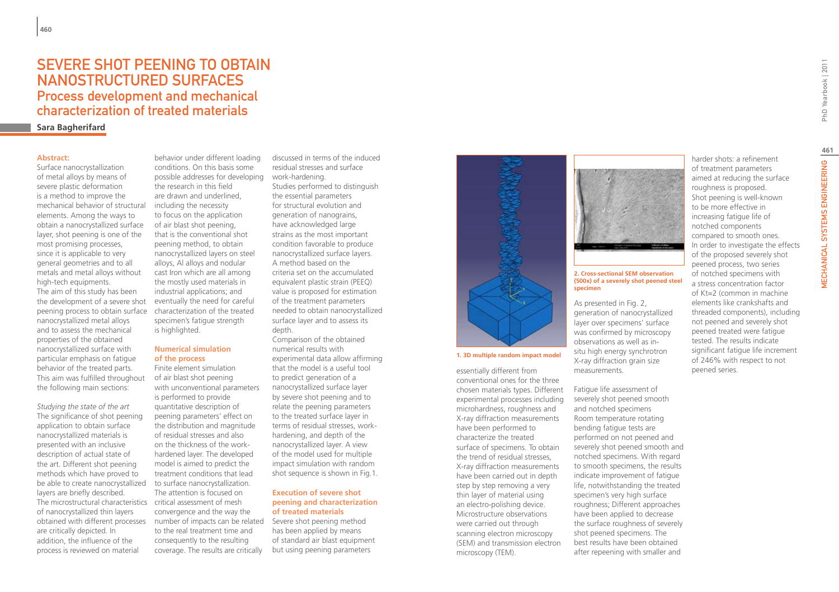### SEVERE SHOT PEENING TO OBTAIN nanostructured surfaces Process development and mechanical characterization of treated materials

### **Sara Bagherifard**

#### **Abstract:**

Surface nanocrystallization of metal alloys by means of severe plastic deformation is a method to improve the mechanical behavior of structural elements. Among the ways to obtain a nanocrystallized surface layer, shot peening is one of the most promising processes, since it is applicable to very general geometries and to all metals and metal alloys without high-tech equipments. The aim of this study has been the development of a severe shot peening process to obtain surface nanocrystallized metal alloys and to assess the mechanical properties of the obtained nanocrystallized surface with particular emphasis on fatigue behavior of the treated parts. This aim was fulfilled throughout the following main sections:

*Studying the state of the art* The significance of shot peening application to obtain surface nanocrystallized materials is presented with an inclusive description of actual state of the art. Different shot peening methods which have proved to be able to create nanocrystallized layers are briefly described. The microstructural characteristics critical assessment of mesh of nanocrystallized thin layers obtained with different processes are critically depicted. In addition, the influence of the process is reviewed on material

behavior under different loading conditions. On this basis some possible addresses for developing the research in this field are drawn and underlined, including the necessity to focus on the application of air blast shot peening, that is the conventional shot peening method, to obtain nanocrystallized layers on steel alloys, Al alloys and nodular cast Iron which are all among the mostly used materials in industrial applications; and eventually the need for careful characterization of the treated specimen's fatigue strength is highlighted.

#### **Numerical simulation of the process**

Finite element simulation of air blast shot peening with unconventional parameters is performed to provide quantitative description of peening parameters' effect on the distribution and magnitude of residual stresses and also on the thickness of the workhardened layer. The developed model is aimed to predict the treatment conditions that lead to surface nanocrystallization. The attention is focused on convergence and the way the number of impacts can be related to the real treatment time and consequently to the resulting coverage. The results are critically

discussed in terms of the induced residual stresses and surface work-hardening. Studies performed to distinguish the essential parameters for structural evolution and generation of nanograins, have acknowledged large strains as the most important condition favorable to produce nanocrystallized surface layers. A method based on the criteria set on the accumulated equivalent plastic strain (PEEQ) value is proposed for estimation of the treatment parameters needed to obtain nanocrystallized surface layer and to assess its depth.

Comparison of the obtained numerical results with experimental data allow affirming that the model is a useful tool to predict generation of a nanocrystallized surface layer by severe shot peening and to relate the peening parameters to the treated surface layer in terms of residual stresses, workhardening, and depth of the nanocrystallized layer. A view of the model used for multiple impact simulation with random shot sequence is shown in Fig.1.

#### **Execution of severe shot peening and characterization of treated materials**

Severe shot peening method has been applied by means of standard air blast equipment but using peening parameters



**1. 3D multiple random impact model**

essentially different from conventional ones for the three chosen materials types. Different experimental processes including microhardness, roughness and X-ray diffraction measurements have been performed to characterize the treated surface of specimens. To obtain the trend of residual stresses, X-ray diffraction measurements have been carried out in depth step by step removing a very thin layer of material using an electro-polishing device. Microstructure observations were carried out through scanning electron microscopy (SEM) and transmission electron microscopy (TEM).



#### **2. Cross-sectional SEM observation (500x) of a severely shot peened steel specimen**

As presented in Fig. 2, generation of nanocrystallized layer over specimens' surface was confirmed by microscopy observations as well as insitu high energy synchrotron X-ray diffraction grain size measurements.

Fatigue life assessment of severely shot peened smooth and notched specimens Room temperature rotating bending fatigue tests are performed on not peened and severely shot peened smooth and notched specimens. With regard to smooth specimens, the results indicate improvement of fatigue life, notwithstanding the treated specimen's very high surface roughness; Different approaches have been applied to decrease the surface roughness of severely shot peened specimens. The best results have been obtained after repeening with smaller and

harder shots: a refinement of treatment parameters aimed at reducing the surface roughness is proposed. Shot peening is well-known to be more effective in increasing fatigue life of notched components compared to smooth ones. In order to investigate the effects of the proposed severely shot peened process, two series of notched specimens with a stress concentration factor of Kt=2 (common in machine elements like crankshafts and threaded components), including not peened and severely shot peened treated were fatigue tested. The results indicate significant fatigue life increment of 246% with respect to not

peened series.

MECHANICAL SYSTEMS ENGINEERING PhD Yearbook | 2011 **461VECHANICAL SYSTEMS ENGINEERING**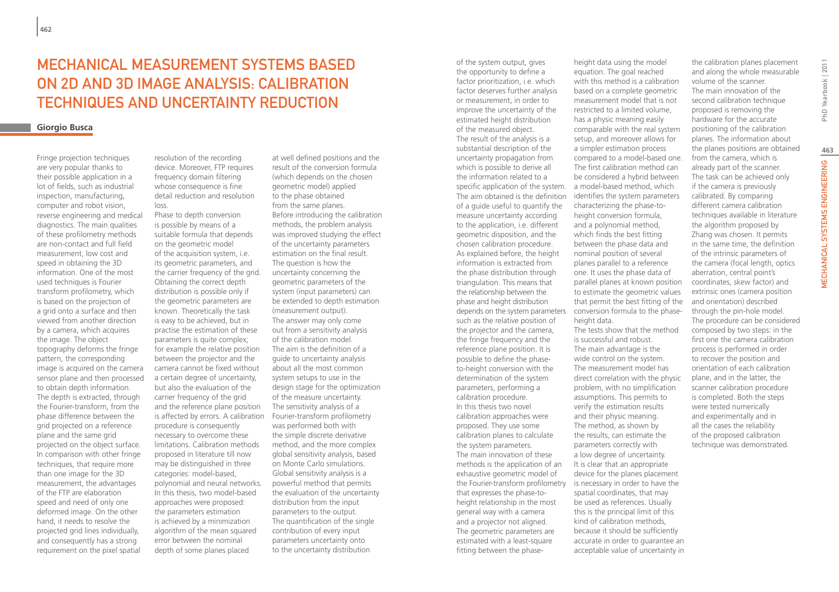# Mechanical measurement systems based on 2d and 3d image analysis: calibration techniques and uncertainty reduction

### **Giorgio Busca**

Fringe projection techniques are very popular thanks to their possible application in a lot of fields, such as industrial inspection, manufacturing, computer and robot vision, reverse engineering and medical diagnostics. The main qualities of these profilometry methods are non-contact and full field measurement, low cost and speed in obtaining the 3D information. One of the most used techniques is Fourier transform profilometry, which is based on the projection of a grid onto a surface and then viewed from another direction by a camera, which acquires the image. The object topography deforms the fringe pattern, the corresponding image is acquired on the camera sensor plane and then processed to obtain depth information. The depth is extracted, through the Fourier-transform, from the phase difference between the grid projected on a reference plane and the same grid projected on the object surface. In comparison with other fringe techniques, that require more than one image for the 3D measurement, the advantages of the FTP are elaboration speed and need of only one deformed image. On the other hand, it needs to resolve the projected grid lines individually, and consequently has a strong requirement on the pixel spatial

resolution of the recording device. Moreover, FTP requires frequency domain filtering whose consequence is fine detail reduction and resolution loss.

Phase to depth conversion is possible by means of a suitable formula that depends on the geometric model of the acquisition system, i.e. its geometric parameters, and the carrier frequency of the grid. Obtaining the correct depth distribution is possible only if the geometric parameters are known. Theoretically the task is easy to be achieved, but in practise the estimation of these parameters is quite complex; for example the relative position between the projector and the camera cannot be fixed without a certain degree of uncertainty, but also the evaluation of the carrier frequency of the grid and the reference plane position is affected by errors. A calibration Fourier-transform profilometry procedure is consequently necessary to overcome these limitations. Calibration methods proposed in literature till now may be distinguished in three categories: model-based, polynomial and neural networks. In this thesis, two model-based approaches were proposed: the parameters estimation is achieved by a minimization algorithm of the mean squared error between the nominal depth of some planes placed

at well defined positions and the result of the conversion formula (which depends on the chosen geometric model) applied to the phase obtained from the same planes. Before introducing the calibration methods, the problem analysis was improved studying the effect of the uncertainty parameters estimation on the final result. The question is how the uncertainty concerning the geometric parameters of the system (input parameters) can be extended to depth estimation (measurement output). The answer may only come out from a sensitivity analysis of the calibration model. The aim is the definition of a guide to uncertainty analysis about all the most common system setups to use in the design stage for the optimization of the measure uncertainty. The sensitivity analysis of a was performed both with the simple discrete derivative method, and the more complex global sensitivity analysis, based on Monte Carlo simulations. Global sensitivity analysis is a powerful method that permits the evaluation of the uncertainty distribution from the input parameters to the output. The quantification of the single contribution of every input parameters uncertainty onto to the uncertainty distribution

of the system output, gives the opportunity to define a factor prioritization, i.e. which factor deserves further analysis or measurement, in order to improve the uncertainty of the estimated height distribution of the measured object. The result of the analysis is a substantial description of the uncertainty propagation from which is possible to derive all the information related to a specific application of the system. a model-based method, which The aim obtained is the definition of a guide useful to quantify the measure uncertainty according to the application, i.e. different geometric disposition, and the chosen calibration procedure. As explained before, the height information is extracted from the phase distribution through triangulation. This means that the relationship between the phase and height distribution depends on the system parameters conversion formula to the phasesuch as the relative position of the projector and the camera, the fringe frequency and the reference plane position. It is possible to define the phaseto-height conversion with the determination of the system parameters, performing a calibration procedure. In this thesis two novel calibration approaches were proposed. They use some calibration planes to calculate the system parameters. The main innovation of these methods is the application of an exhaustive geometric model of the Fourier-transform profilometry is necessary in order to have the that expresses the phase-toheight relationship in the most general way with a camera and a projector not aligned. The geometric parameters are estimated with a least-square fitting between the phase-

equation. The goal reached with this method is a calibration based on a complete geometric measurement model that is not restricted to a limited volume, has a physic meaning easily comparable with the real system setup, and moreover allows for a simpler estimation process compared to a model-based one. The first calibration method can be considered a hybrid between identifies the system parameters characterizing the phase-toheight conversion formula, and a polynomial method, which finds the best fitting between the phase data and nominal position of several planes parallel to a reference one. It uses the phase data of parallel planes at known position to estimate the geometric values that permit the best fitting of the height data. The tests show that the method is successful and robust. The main advantage is the wide control on the system. The measurement model has direct correlation with the physic problem, with no simplification assumptions. This permits to verify the estimation results and their physic meaning. The method, as shown by the results, can estimate the parameters correctly with a low degree of uncertainty. It is clear that an appropriate device for the planes placement spatial coordinates, that may be used as references. Usually this is the principal limit of this kind of calibration methods, because it should be sufficiently accurate in order to guarantee an acceptable value of uncertainty in

height data using the model

the calibration planes placement and along the whole measurable volume of the scanner. The main innovation of the second calibration technique proposed is removing the hardware for the accurate positioning of the calibration planes. The information about the planes positions are obtained from the camera, which is already part of the scanner. The task can be achieved only if the camera is previously calibrated. By comparing different camera calibration techniques available in literature the algorithm proposed by Zhang was chosen. It permits in the same time, the definition of the intrinsic parameters of the camera (focal length, optics aberration, central point's coordinates, skew factor) and extrinsic ones (camera position and orientation) described through the pin-hole model. The procedure can be considered composed by two steps: in the first one the camera calibration process is performed in order to recover the position and orientation of each calibration plane, and in the latter, the scanner calibration procedure is completed. Both the steps were tested numerically and experimentally and in all the cases the reliability of the proposed calibration technique was demonstrated.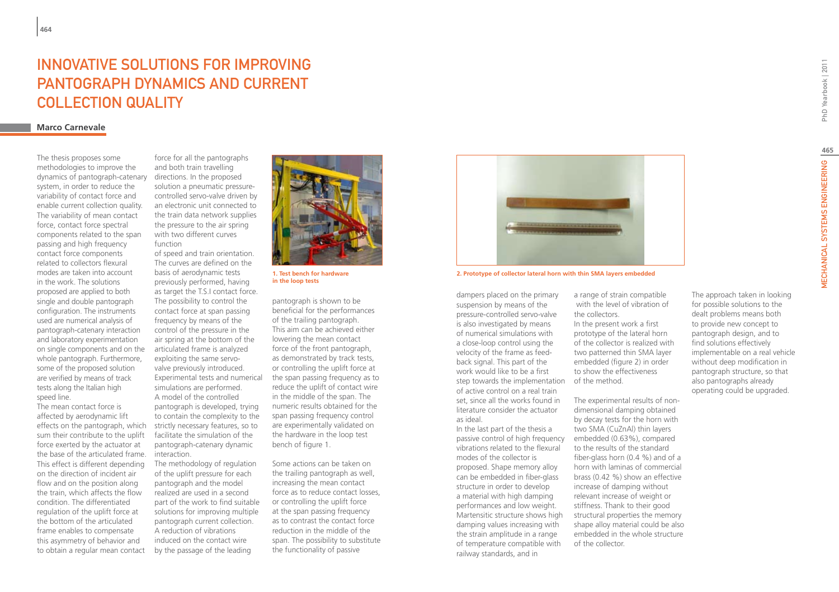### INNOVATIVE SOLUTIONS FOR IMPROVING pantograph dynamics and current collection quality

### **Marco Carnevale**

The thesis proposes some methodologies to improve the dynamics of pantograph-catenary system, in order to reduce the variability of contact force and enable current collection quality. The variability of mean contact force, contact force spectral components related to the span passing and high frequency contact force components related to collectors flexural modes are taken into account in the work. The solutions proposed are applied to both single and double pantograph configuration. The instruments used are numerical analysis of pantograph-catenary interaction and laboratory experimentation on single components and on the whole pantograph. Furthermore, some of the proposed solution are verified by means of track tests along the Italian high speed line.

The mean contact force is affected by aerodynamic lift effects on the pantograph, which sum their contribute to the uplift force exerted by the actuator at the base of the articulated frame. This effect is different depending on the direction of incident air flow and on the position along the train, which affects the flow condition. The differentiated regulation of the uplift force at the bottom of the articulated frame enables to compensate this asymmetry of behavior and to obtain a regular mean contact

force for all the pantographs and both train travelling directions. In the proposed solution a pneumatic pressurecontrolled servo-valve driven by an electronic unit connected to the train data network supplies the pressure to the air spring with two different curves function

of speed and train orientation. The curves are defined on the basis of aerodynamic tests previously performed, having as target the T.S.I contact force. The possibility to control the contact force at span passing frequency by means of the control of the pressure in the air spring at the bottom of the articulated frame is analyzed exploiting the same servovalve previously introduced. Experimental tests and numerical simulations are performed. A model of the controlled pantograph is developed, trying to contain the complexity to the strictly necessary features, so to facilitate the simulation of the pantograph-catenary dynamic interaction.

The methodology of regulation of the uplift pressure for each pantograph and the model realized are used in a second part of the work to find suitable solutions for improving multiple pantograph current collection. A reduction of vibrations induced on the contact wire by the passage of the leading



**1. Test bench for hardware in the loop tests**

pantograph is shown to be beneficial for the performances of the trailing pantograph. This aim can be achieved either lowering the mean contact force of the front pantograph, as demonstrated by track tests, or controlling the uplift force at the span passing frequency as to reduce the uplift of contact wire in the middle of the span. The numeric results obtained for the span passing frequency control are experimentally validated on the hardware in the loop test bench of figure 1.

Some actions can be taken on the trailing pantograph as well, increasing the mean contact force as to reduce contact losses, or controlling the uplift force at the span passing frequency as to contrast the contact force reduction in the middle of the span. The possibility to substitute the functionality of passive



**2. Prototype of collector lateral horn with thin SMA layers embedded**

dampers placed on the primary suspension by means of the pressure-controlled servo-valve is also investigated by means of numerical simulations with a close-loop control using the velocity of the frame as feedback signal. This part of the work would like to be a first step towards the implementation of the method. of active control on a real train set, since all the works found in literature consider the actuator as ideal.

In the last part of the thesis a passive control of high frequency embedded (0.63%), compared vibrations related to the flexural modes of the collector is proposed. Shape memory alloy can be embedded in fiber-glass structure in order to develop a material with high damping performances and low weight. Martensitic structure shows high damping values increasing with the strain amplitude in a range of temperature compatible with railway standards, and in

a range of strain compatible with the level of vibration of the collectors.

In the present work a first prototype of the lateral horn of the collector is realized with two patterned thin SMA layer embedded (figure 2) in order to show the effectiveness

The experimental results of nondimensional damping obtained by decay tests for the horn with two SMA (CuZnAl) thin layers to the results of the standard fiber-glass horn (0.4 %) and of a horn with laminas of commercial brass (0.42 %) show an effective increase of damping without relevant increase of weight or stiffness. Thank to their good structural properties the memory shape alloy material could be also embedded in the whole structure of the collector.

The approach taken in looking for possible solutions to the dealt problems means both to provide new concept to pantograph design, and to find solutions effectively implementable on a real vehicle without deep modification in pantograph structure, so that also pantographs already operating could be upgraded.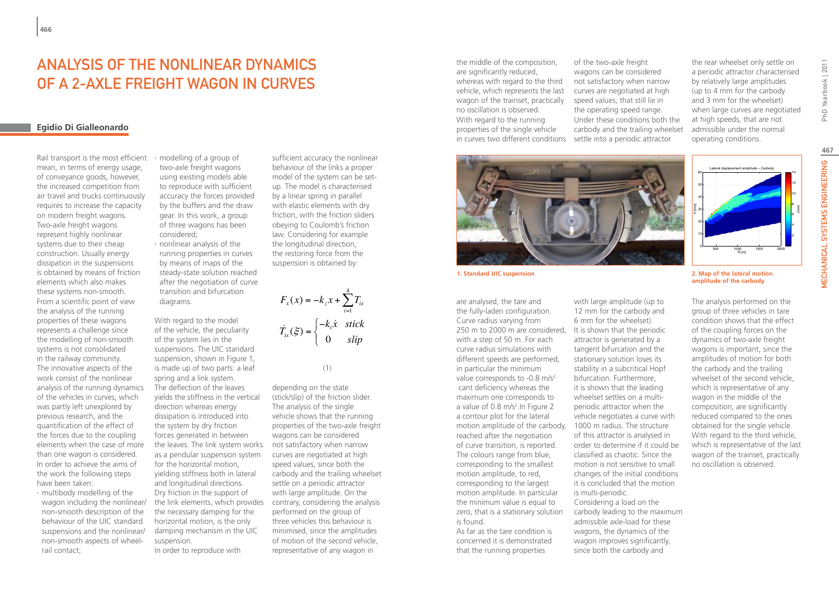# ANALYSIS OF THE NONLINEAR DYNAMICS OF A 2-AXLE FREIGHT WAGON IN CURVES

### **Egidio Di Gialleonardo**

Rail transport is the most efficient mean, in terms of energy usage, of conveyance goods, however, the increased competition from air travel and trucks continuously requires to increase the capacity on modern freight wagons. Two-axle freight wagons represent highly nonlinear systems due to their cheap construction. Usually energy dissipation in the suspensions is obtained by means of friction elements which also makes these systems non-smooth. From a scientific point of view the analysis of the running properties of these wagons represents a challenge since the modelling of non-smooth systems is not consolidated in the railway community. The innovative aspects of the work consist of the nonlinear analysis of the running dynamics of the vehicles in curves, which was partly left unexplored by previous research, and the quantification of the effect of the forces due to the coupling elements when the case of more than one wagon is considered. In order to achieve the aims of the work the following steps have been taken:

∙ multibody modelling of the wagon including the nonlinear/ non-smooth description of the behaviour of the UIC standard suspensions and the nonlinear/ non-smooth aspects of wheelrail contact;

∙ modelling of a group of two-axle freight wagons using existing models able to reproduce with sufficient accuracy the forces provided by the buffers and the draw gear. In this work, a group of three wagons has been considered;

∙ nonlinear analysis of the running properties in curves by means of maps of the steady-state solution reached after the negotiation of curve transition and bifurcation diagrams.

With regard to the model of the vehicle, the peculiarity of the system lies in the suspensions. The UIC standard suspension, shown in Figure 1, is made up of two parts: a leaf spring and a link system. The deflection of the leaves yields the stiffness in the vertical direction whereas energy dissipation is introduced into the system by dry friction forces generated in between the leaves. The link system works not satisfactory when narrow as a pendular suspension system for the horizontal motion, yielding stiffness both in lateral and longitudinal directions. Dry friction in the support of the link elements, which provides contrary, considering the analysis the necessary damping for the horizontal motion, is the only damping mechanism in the UIC suspension.

In order to reproduce with

sufficient accuracy the nonlinear behaviour of the links a proper model of the system can be setup. The model is characterised by a linear spring in parallel with elastic elements with dry friction, with the friction sliders obeying to Coulomb's friction law. Considering for example the longitudinal direction, the restoring force from the suspension is obtained by:

4 1  $\left( x\right)$  $(\xi) = \begin{cases} 0 \\ 0 \end{cases}$  $\alpha$   $\alpha$  *j*  $\alpha$  *i*  $\alpha$  *ix i i ix*  $F_{x}(x) = -k_{z}x + \sum T_{i}$ *k x stick*  $T_{ix}(\xi) = \begin{cases} 0 & \text{skip} \end{cases}$ =  $=-k_z x +$  $=\Big\{-\Big\}$  $\overline{\mathcal{L}}$  $\sum$  $\dot{r}_i(\xi) = \begin{cases} -k_i \dot{x}_i \end{cases}$ 

#### (1)

depending on the state (stick/slip) of the friction slider. The analysis of the single vehicle shows that the running properties of the two-axle freight wagons can be considered curves are negotiated at high speed values, since both the carbody and the trailing wheelset settle on a periodic attractor with large amplitude. On the performed on the group of three vehicles this behaviour is minimised, since the amplitudes of motion of the second vehicle, representative of any wagon in

the middle of the composition, are significantly reduced. whereas with regard to the third vehicle, which represents the last wagon of the trainset, practically no oscillation is observed. With regard to the running properties of the single vehicle in curves two different conditions settle into a periodic attractor

of the two-axle freight wagons can be considered not satisfactory when narrow curves are negotiated at high speed values, that still lie in the operating speed range. Under these conditions both the carbody and the trailing wheelset the rear wheelset only settle on a periodic attractor characterised by relatively large amplitudes (up to 4 mm for the carbody and 3 mm for the wheelset) when large curves are negotiated at high speeds, that are not admissible under the normal operating conditions.



are analysed, the tare and the fully-laden configuration. Curve radius varying from 250 m to 2000 m are considered, It is shown that the periodic with a step of 50 m. For each curve radius simulations with different speeds are performed, in particular the minimum value corresponds to -0.8 m/s<sup>2</sup> cant deficiency whereas the maximum one corresponds to a value of 0.8 m/s<sup>2</sup>. In Figure 2 a contour plot for the lateral motion amplitude of the carbody, reached after the negotiation of curve transition, is reported. The colours range from blue, corresponding to the smallest motion amplitude, to red, corresponding to the largest motion amplitude. In particular the minimum value is equal to zero, that is a stationary solution is found.

As far as the tare condition is concerned it is demonstrated that the running properties

with large amplitude (up to 12 mm for the carbody and 6 mm for the wheelset). attractor is generated by a tangent bifurcation and the stationary solution loses its stability in a subcritical Hopf bifurcation. Furthermore, it is shown that the leading wheelset settles on a multiperiodic attractor when the vehicle negotiates a curve with 1000 m radius. The structure of this attractor is analysed in order to determine if it could be classified as chaotic. Since the motion is not sensitive to small changes of the initial conditions it is concluded that the motion is multi-periodic. Considering a load on the carbody leading to the maximum admissible axle-load for these wagons, the dynamics of the wagon improves significantly, since both the carbody and

R [m] V [m/s] <sup>500</sup> <sup>1000</sup> <sup>1500</sup> <sup>2000</sup> <sup>0</sup> 10 20 30 2 4 6 ă

Lateral displacement amplitude − Carbody

40 50 60

**1. Standard UIC suspension 2. Map of the lateral motion amplitude of the carbody**

> The analysis performed on the group of three vehicles in tare condition shows that the effect of the coupling forces on the dynamics of two-axle freight wagons is important, since the amplitudes of motion for both the carbody and the trailing wheelset of the second vehicle, which is representative of any wagon in the middle of the composition, are significantly reduced compared to the ones obtained for the single vehicle. With regard to the third vehicle, which is representative of the last wagon of the trainset, practically no oscillation is observed.

PhD Yearbook | 2011

[mm]

10 12 14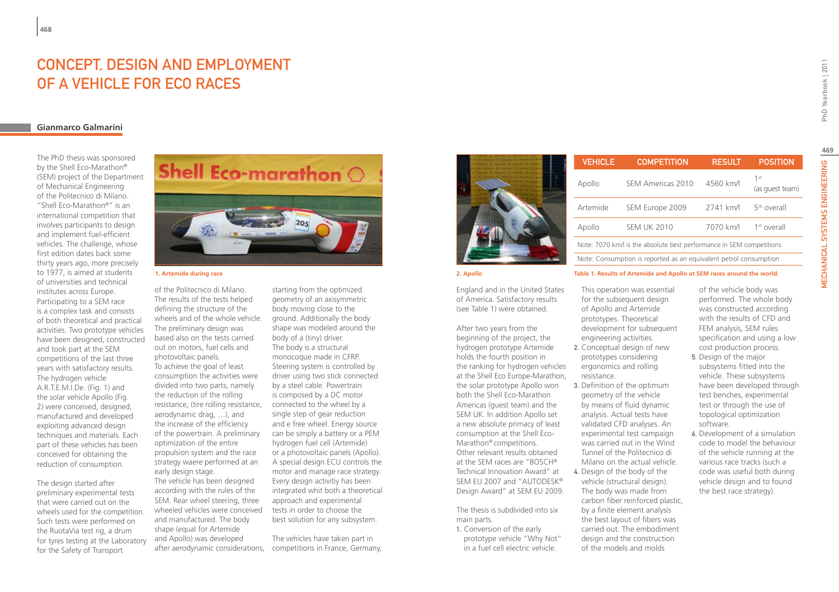### Concept, design and employment of a vehicle for eco races

### **Gianmarco Galmarini**

The PhD thesis was sponsored by the Shell Eco-Marathon® (SEM) project of the Department of Mechanical Engineering of the Politecnico di Milano. "Shell Eco-Marathon®" is an international competition that involves participants to design and implement fuel-efficient vehicles. The challenge, whose first edition dates back some thirty years ago, more precisely to 1977, is aimed at students of universities and technical institutes across Europe. Participating to a SEM race is a complex task and consists of both theoretical and practical activities. Two prototype vehicles have been designed, constructed and took part at the SEM competitions of the last three years with satisfactory results. The hydrogen vehicle A.R.T.E.M.I.De. (Fig. 1) and the solar vehicle Apollo (Fig. 2) were conceived, designed, manufactured and developed exploiting advanced design techniques and materials. Each part of these vehicles has been conceived for obtaining the reduction of consumption.

The design started after preliminary experimental tests that were carried out on the wheels used for the competition. Such tests were performed on the RuotaVia test rig, a drum for tyres testing at the Laboratory for the Safety of Transport



of the Politecnico di Milano. The results of the tests helped defining the structure of the wheels and of the whole vehicle. The preliminary design was based also on the tests carried out on motors, fuel cells and photovoltaic panels. To achieve the goal of least consumption the activities were divided into two parts, namely the reduction of the rolling resistance, (tire rolling resistance, aerodynamic drag, …), and the increase of the efficiency of the powertrain. A preliminary optimization of the entire propulsion system and the race strategy waere performed at an early design stage. The vehicle has been designed according with the rules of the SEM. Rear wheel steering, three wheeled vehicles were conceived and manufactured. The body shape (equal for Artemide and Apollo) was developed

starting from the optimized geometry of an axisymmetric body moving close to the ground. Additionally the body shape was modeled around the body of a (tiny) driver. The body is a structural monocoque made in CFRP. Steering system is controlled by driver using two stick connected by a steel cable. Powertrain is composed by a DC motor connected to the wheel by a single step of gear reduction and e free wheel. Energy source can be simply a battery or a PEM hydrogen fuel cell (Artemide) or a photovoltaic panels (Apollo). A special design ECU controls the motor and manage race strategy. Every design activitiy has been integrated whit both a theoretical approach and experimental tests in order to choose the best solution for any subsystem.

after aerodynamic considerations, competitions in France, Germany, The vehicles have taken part in



|                           |           | <b>VEHICLE</b>                                                         | <b>COMPETITION</b> | <b>RESULT</b> | <b>POSITION</b>         |
|---------------------------|-----------|------------------------------------------------------------------------|--------------------|---------------|-------------------------|
| <b>Shell Eco-marathon</b> |           | Apollo                                                                 | SEM Americas 2010  | 4560 km/l     | (as guest team)         |
|                           |           | Artemide                                                               | SEM Europe 2009    | 2741 km/l     | 5 <sup>th</sup> overall |
|                           |           | Apollo                                                                 | <b>SEM UK 2010</b> | 7070 km/l     | $1st$ overall           |
| nier.                     |           | Note: 7070 km/l is the absolute best performance in SEM competitions   |                    |               |                         |
|                           |           | Note: Consumption is reported as an equivalent petrol consumption      |                    |               |                         |
| 1. Artemide during race   | 2. Apollo | Table 1. Results of Artemide and Apollo at SEM races around the world. |                    |               |                         |

England and in the United States of America. Satisfactory results (see Table 1) were obtained.

After two years from the beginning of the project, the hydrogen prototype Artemide holds the fourth position in the ranking for hydrogen vehicles at the Shell Eco Europe-Marathon, the solar prototype Apollo won both the Shell Eco-Marathon Americas (guest team) and the SEM UK. In addition Apollo set a new absolute primacy of least consumption at the Shell Eco-Marathon® competitions. Other relevant results obtained at the SEM races are "BOSCH® Technical Innovation Award" at SEM EU 2007 and "AUTODESK® Design Award" at SEM EU 2009.

The thesis is subdivided into six main parts.

1. Conversion of the early prototype vehicle "Why Not" in a fuel cell electric vehicle.

- This operation was essential for the subsequent design of Apollo and Artemide prototypes. Theoretical development for subsequent engineering activities.
- 2. Conceptual design of new prototypes considering ergonomics and rolling resistance.
- 3. Definition of the optimum geometry of the vehicle by means of fluid dynamic analysis. Actual tests have validated CFD analyses. An experimental test campaign was carried out in the Wind Tunnel of the Politecnico di Milano on the actual vehicle.
- 4. Design of the body of the vehicle (structural design). The body was made from carbon fiber reinforced plastic, by a finite element analysis the best layout of fibers was carried out. The embodiment design and the construction of the models and molds

of the vehicle body was performed. The whole body was constructed according with the results of CFD and FEM analysis, SEM rules specification and using a low cost production process.

- 5. Design of the major subsystems fitted into the vehicle. These subsystems have been developed through test benches, experimental test or through the use of topological optimization software.
- 6. Development of a simulation code to model the behaviour of the vehicle running at the various race tracks (such a code was useful both during vehicle design and to found the best race strategy).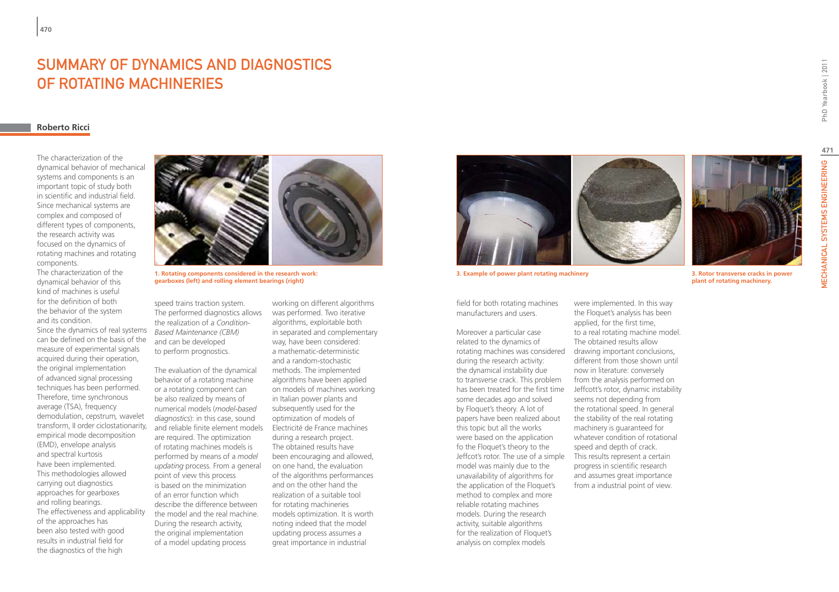### Summary of Dynamics and Diagnostics of rotating machineries

### **Roberto Ricci**

The characterization of the dynamical behavior of mechanical systems and components is an important topic of study both in scientific and industrial field. Since mechanical systems are complex and composed of different types of components, the research activity was focused on the dynamics of rotating machines and rotating components.

The characterization of the dynamical behavior of this kind of machines is useful for the definition of both the behavior of the system and its condition.

Since the dynamics of real systems can be defined on the basis of the measure of experimental signals acquired during their operation, the original implementation of advanced signal processing techniques has been performed. Therefore, time synchronous average (TSA), frequency demodulation, cepstrum*,* wavelet transform, II order ciclostationarity, empirical mode decomposition (EMD), envelope analysis and spectral kurtosis have been implemented. This methodologies allowed carrying out diagnostics approaches for gearboxes and rolling bearings. The effectiveness and applicability of the approaches has been also tested with good results in industrial field for the diagnostics of the high



**1. Rotating components considered in the research work: gearboxes (left) and rolling element bearings (right)**

speed trains traction system. The performed diagnostics allows the realization of a *Condition-Based Maintenance (CBM)*  and can be developed to perform prognostics.

The evaluation of the dynamical behavior of a rotating machine or a rotating component can be also realized by means of numerical models (*model-based diagnostics*): in this case, sound and reliable finite element models are required. The optimization of rotating machines models is performed by means of a *model updating* process. From a general point of view this process is based on the minimization of an error function which describe the difference between the model and the real machine. During the research activity, the original implementation of a model updating process

working on different algorithms was performed. Two iterative algorithms, exploitable both in separated and complementary way, have been considered: a mathematic-deterministic and a random-stochastic methods. The implemented algorithms have been applied on models of machines working in Italian power plants and subsequently used for the optimization of models of Electricité de France machines during a research project. The obtained results have been encouraging and allowed, on one hand, the evaluation of the algorithms performances and on the other hand the realization of a suitable tool for rotating machineries models optimization. It is worth noting indeed that the model updating process assumes a great importance in industrial



**3. Example of power plant rotating machinery 3. Rotor transverse cracks in power** 

field for both rotating machines manufacturers and users.

Moreover a particular case related to the dynamics of rotating machines was considered during the research activity: the dynamical instability due to transverse crack. This problem has been treated for the first time some decades ago and solved by Floquet's theory. A lot of papers have been realized about this topic but all the works were based on the application fo the Floquet's theory to the Jeffcot's rotor. The use of a simple model was mainly due to the unavailability of algorithms for the application of the Floquet's method to complex and more reliable rotating machines models. During the research activity, suitable algorithms for the realization of Floquet's analysis on complex models

were implemented. In this way the Floquet's analysis has been applied, for the first time, to a real rotating machine model. The obtained results allow drawing important conclusions, different from those shown until now in literature: conversely from the analysis performed on Jeffcott's rotor, dynamic instability seems not depending from the rotational speed. In general the stability of the real rotating machinery is guaranteed for whatever condition of rotational speed and depth of crack. This results represent a certain progress in scientific research and assumes great importance from a industrial point of view.



**471**